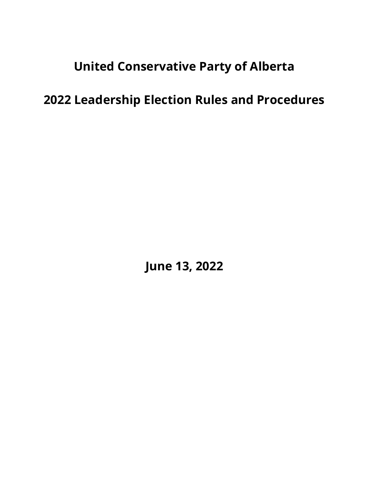United Conservative Party of Alberta

2022 Leadership Election Rules and Procedures

June 13, 2022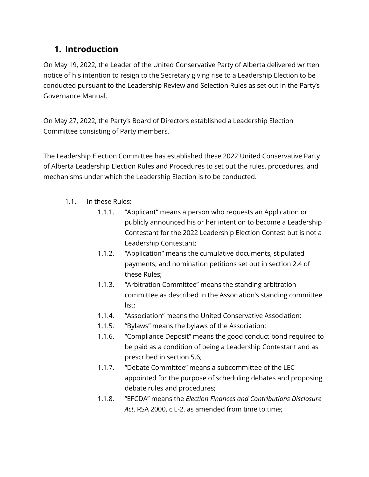# 1. Introduction

On May 19, 2022, the Leader of the United Conservative Party of Alberta delivered written notice of his intention to resign to the Secretary giving rise to a Leadership Election to be conducted pursuant to the Leadership Review and Selection Rules as set out in the Party's Governance Manual.

On May 27, 2022, the Party's Board of Directors established a Leadership Election Committee consisting of Party members.

The Leadership Election Committee has established these 2022 United Conservative Party of Alberta Leadership Election Rules and Procedures to set out the rules, procedures, and mechanisms under which the Leadership Election is to be conducted.

- 1.1. In these Rules:
	- 1.1.1. "Applicant" means a person who requests an Application or publicly announced his or her intention to become a Leadership Contestant for the 2022 Leadership Election Contest but is not a Leadership Contestant;
	- 1.1.2. "Application" means the cumulative documents, stipulated payments, and nomination petitions set out in section 2.4 of these Rules;
	- 1.1.3. "Arbitration Committee" means the standing arbitration committee as described in the Association's standing committee list;
	- 1.1.4. "Association" means the United Conservative Association;
	- 1.1.5. "Bylaws" means the bylaws of the Association;
	- 1.1.6. "Compliance Deposit" means the good conduct bond required to be paid as a condition of being a Leadership Contestant and as prescribed in section 5.6;
	- 1.1.7. "Debate Committee" means a subcommittee of the LEC appointed for the purpose of scheduling debates and proposing debate rules and procedures;
	- 1.1.8. "EFCDA" means the Election Finances and Contributions Disclosure Act, RSA 2000, c E-2, as amended from time to time;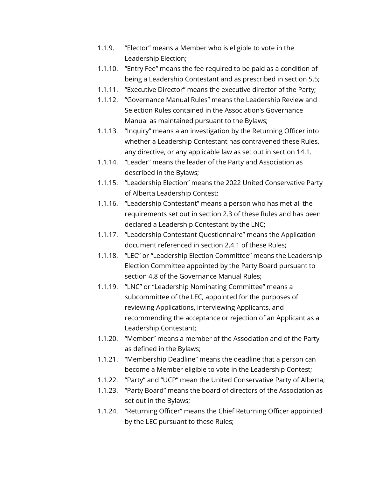- 1.1.9. "Elector" means a Member who is eligible to vote in the Leadership Election;
- 1.1.10. "Entry Fee" means the fee required to be paid as a condition of being a Leadership Contestant and as prescribed in section 5.5;
- 1.1.11. "Executive Director" means the executive director of the Party;
- 1.1.12. "Governance Manual Rules" means the Leadership Review and Selection Rules contained in the Association's Governance Manual as maintained pursuant to the Bylaws;
- 1.1.13. "Inquiry" means a an investigation by the Returning Officer into whether a Leadership Contestant has contravened these Rules, any directive, or any applicable law as set out in section 14.1.
- 1.1.14. "Leader" means the leader of the Party and Association as described in the Bylaws;
- 1.1.15. "Leadership Election" means the 2022 United Conservative Party of Alberta Leadership Contest;
- 1.1.16. "Leadership Contestant" means a person who has met all the requirements set out in section 2.3 of these Rules and has been declared a Leadership Contestant by the LNC;
- 1.1.17. "Leadership Contestant Questionnaire" means the Application document referenced in section 2.4.1 of these Rules;
- 1.1.18. "LEC" or "Leadership Election Committee" means the Leadership Election Committee appointed by the Party Board pursuant to section 4.8 of the Governance Manual Rules;
- 1.1.19. "LNC" or "Leadership Nominating Committee" means a subcommittee of the LEC, appointed for the purposes of reviewing Applications, interviewing Applicants, and recommending the acceptance or rejection of an Applicant as a Leadership Contestant;
- 1.1.20. "Member" means a member of the Association and of the Party as defined in the Bylaws;
- 1.1.21. "Membership Deadline" means the deadline that a person can become a Member eligible to vote in the Leadership Contest;
- 1.1.22. "Party" and "UCP" mean the United Conservative Party of Alberta;
- 1.1.23. "Party Board" means the board of directors of the Association as set out in the Bylaws;
- 1.1.24. "Returning Officer" means the Chief Returning Officer appointed by the LEC pursuant to these Rules;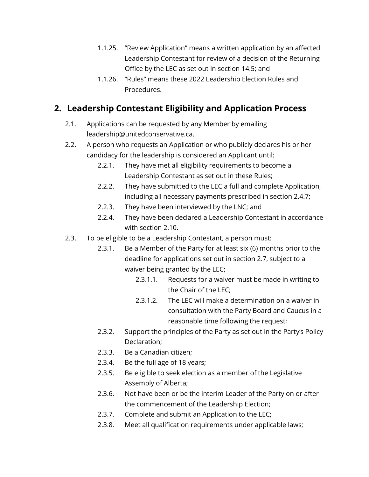- 1.1.25. "Review Application" means a written application by an affected Leadership Contestant for review of a decision of the Returning Office by the LEC as set out in section 14.5; and
- 1.1.26. "Rules" means these 2022 Leadership Election Rules and Procedures.

### 2. Leadership Contestant Eligibility and Application Process

- 2.1. Applications can be requested by any Member by emailing leadership@unitedconservative.ca.
- 2.2. A person who requests an Application or who publicly declares his or her candidacy for the leadership is considered an Applicant until:
	- 2.2.1. They have met all eligibility requirements to become a Leadership Contestant as set out in these Rules;
	- 2.2.2. They have submitted to the LEC a full and complete Application, including all necessary payments prescribed in section 2.4.7;
	- 2.2.3. They have been interviewed by the LNC; and
	- 2.2.4. They have been declared a Leadership Contestant in accordance with section 2.10.
- 2.3. To be eligible to be a Leadership Contestant, a person must:
	- 2.3.1. Be a Member of the Party for at least six (6) months prior to the deadline for applications set out in section 2.7, subject to a waiver being granted by the LEC;
		- 2.3.1.1. Requests for a waiver must be made in writing to the Chair of the LEC;
		- 2.3.1.2. The LEC will make a determination on a waiver in consultation with the Party Board and Caucus in a reasonable time following the request;
	- 2.3.2. Support the principles of the Party as set out in the Party's Policy Declaration;
	- 2.3.3. Be a Canadian citizen;
	- 2.3.4. Be the full age of 18 years;
	- 2.3.5. Be eligible to seek election as a member of the Legislative Assembly of Alberta;
	- 2.3.6. Not have been or be the interim Leader of the Party on or after the commencement of the Leadership Election;
	- 2.3.7. Complete and submit an Application to the LEC;
	- 2.3.8. Meet all qualification requirements under applicable laws;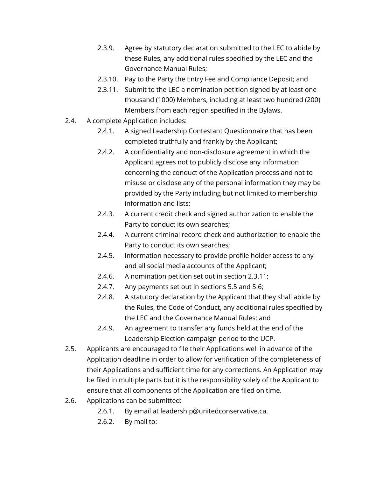- 2.3.9. Agree by statutory declaration submitted to the LEC to abide by these Rules, any additional rules specified by the LEC and the Governance Manual Rules;
- 2.3.10. Pay to the Party the Entry Fee and Compliance Deposit; and
- 2.3.11. Submit to the LEC a nomination petition signed by at least one thousand (1000) Members, including at least two hundred (200) Members from each region specified in the Bylaws.
- 2.4. A complete Application includes:
	- 2.4.1. A signed Leadership Contestant Questionnaire that has been completed truthfully and frankly by the Applicant;
	- 2.4.2. A confidentiality and non-disclosure agreement in which the Applicant agrees not to publicly disclose any information concerning the conduct of the Application process and not to misuse or disclose any of the personal information they may be provided by the Party including but not limited to membership information and lists;
	- 2.4.3. A current credit check and signed authorization to enable the Party to conduct its own searches;
	- 2.4.4. A current criminal record check and authorization to enable the Party to conduct its own searches;
	- 2.4.5. Information necessary to provide profile holder access to any and all social media accounts of the Applicant;
	- 2.4.6. A nomination petition set out in section 2.3.11;
	- 2.4.7. Any payments set out in sections 5.5 and 5.6;
	- 2.4.8. A statutory declaration by the Applicant that they shall abide by the Rules, the Code of Conduct, any additional rules specified by the LEC and the Governance Manual Rules; and
	- 2.4.9. An agreement to transfer any funds held at the end of the Leadership Election campaign period to the UCP.
- 2.5. Applicants are encouraged to file their Applications well in advance of the Application deadline in order to allow for verification of the completeness of their Applications and sufficient time for any corrections. An Application may be filed in multiple parts but it is the responsibility solely of the Applicant to ensure that all components of the Application are filed on time.
- 2.6. Applications can be submitted:
	- 2.6.1. By email at leadership@unitedconservative.ca.
	- 2.6.2. By mail to: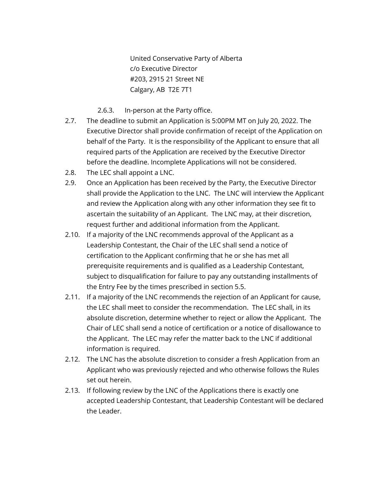United Conservative Party of Alberta c/o Executive Director #203, 2915 21 Street NE Calgary, AB T2E 7T1

- 2.6.3. In-person at the Party office.
- 2.7. The deadline to submit an Application is 5:00PM MT on July 20, 2022. The Executive Director shall provide confirmation of receipt of the Application on behalf of the Party. It is the responsibility of the Applicant to ensure that all required parts of the Application are received by the Executive Director before the deadline. Incomplete Applications will not be considered.
- 2.8. The LEC shall appoint a LNC.
- 2.9. Once an Application has been received by the Party, the Executive Director shall provide the Application to the LNC. The LNC will interview the Applicant and review the Application along with any other information they see fit to ascertain the suitability of an Applicant. The LNC may, at their discretion, request further and additional information from the Applicant.
- 2.10. If a majority of the LNC recommends approval of the Applicant as a Leadership Contestant, the Chair of the LEC shall send a notice of certification to the Applicant confirming that he or she has met all prerequisite requirements and is qualified as a Leadership Contestant, subject to disqualification for failure to pay any outstanding installments of the Entry Fee by the times prescribed in section 5.5.
- 2.11. If a majority of the LNC recommends the rejection of an Applicant for cause, the LEC shall meet to consider the recommendation. The LEC shall, in its absolute discretion, determine whether to reject or allow the Applicant. The Chair of LEC shall send a notice of certification or a notice of disallowance to the Applicant. The LEC may refer the matter back to the LNC if additional information is required.
- 2.12. The LNC has the absolute discretion to consider a fresh Application from an Applicant who was previously rejected and who otherwise follows the Rules set out herein.
- 2.13. If following review by the LNC of the Applications there is exactly one accepted Leadership Contestant, that Leadership Contestant will be declared the Leader.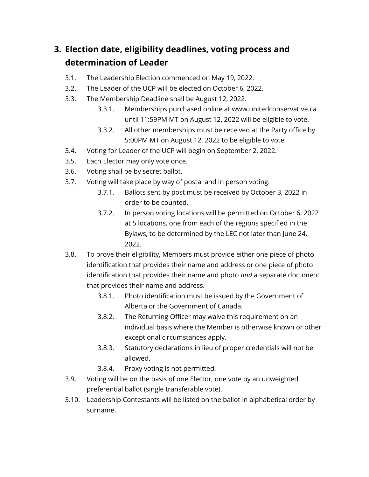# 3. Election date, eligibility deadlines, voting process and determination of Leader

- 3.1. The Leadership Election commenced on May 19, 2022.
- 3.2. The Leader of the UCP will be elected on October 6, 2022.
- 3.3. The Membership Deadline shall be August 12, 2022.
	- 3.3.1. Memberships purchased online at www.unitedconservative.ca until 11:59PM MT on August 12, 2022 will be eligible to vote.
	- 3.3.2. All other memberships must be received at the Party office by 5:00PM MT on August 12, 2022 to be eligible to vote.
- 3.4. Voting for Leader of the UCP will begin on September 2, 2022.
- 3.5. Each Elector may only vote once.
- 3.6. Voting shall be by secret ballot.
- 3.7. Voting will take place by way of postal and in person voting.
	- 3.7.1. Ballots sent by post must be received by October 3, 2022 in order to be counted.
	- 3.7.2. In person voting locations will be permitted on October 6, 2022 at 5 locations, one from each of the regions specified in the Bylaws, to be determined by the LEC not later than June 24, 2022.
- 3.8. To prove their eligibility, Members must provide either one piece of photo identification that provides their name and address or one piece of photo identification that provides their name and photo and a separate document that provides their name and address.
	- 3.8.1. Photo identification must be issued by the Government of Alberta or the Government of Canada.
	- 3.8.2. The Returning Officer may waive this requirement on an individual basis where the Member is otherwise known or other exceptional circumstances apply.
	- 3.8.3. Statutory declarations in lieu of proper credentials will not be allowed.
	- 3.8.4. Proxy voting is not permitted.
- 3.9. Voting will be on the basis of one Elector, one vote by an unweighted preferential ballot (single transferable vote).
- 3.10. Leadership Contestants will be listed on the ballot in alphabetical order by surname.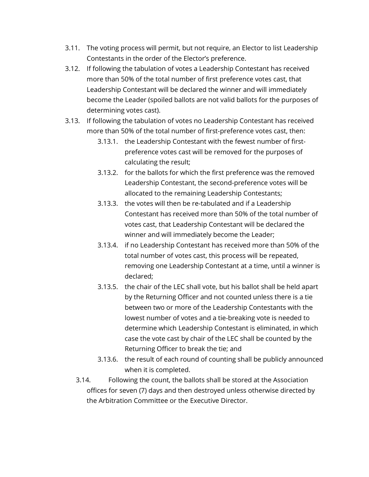- 3.11. The voting process will permit, but not require, an Elector to list Leadership Contestants in the order of the Elector's preference.
- 3.12. If following the tabulation of votes a Leadership Contestant has received more than 50% of the total number of first preference votes cast, that Leadership Contestant will be declared the winner and will immediately become the Leader (spoiled ballots are not valid ballots for the purposes of determining votes cast).
- 3.13. If following the tabulation of votes no Leadership Contestant has received more than 50% of the total number of first-preference votes cast, then:
	- 3.13.1. the Leadership Contestant with the fewest number of firstpreference votes cast will be removed for the purposes of calculating the result;
	- 3.13.2. for the ballots for which the first preference was the removed Leadership Contestant, the second-preference votes will be allocated to the remaining Leadership Contestants;
	- 3.13.3. the votes will then be re-tabulated and if a Leadership Contestant has received more than 50% of the total number of votes cast, that Leadership Contestant will be declared the winner and will immediately become the Leader;
	- 3.13.4. if no Leadership Contestant has received more than 50% of the total number of votes cast, this process will be repeated, removing one Leadership Contestant at a time, until a winner is declared;
	- 3.13.5. the chair of the LEC shall vote, but his ballot shall be held apart by the Returning Officer and not counted unless there is a tie between two or more of the Leadership Contestants with the lowest number of votes and a tie-breaking vote is needed to determine which Leadership Contestant is eliminated, in which case the vote cast by chair of the LEC shall be counted by the Returning Officer to break the tie; and
	- 3.13.6. the result of each round of counting shall be publicly announced when it is completed.
	- 3.14. Following the count, the ballots shall be stored at the Association offices for seven (7) days and then destroyed unless otherwise directed by the Arbitration Committee or the Executive Director.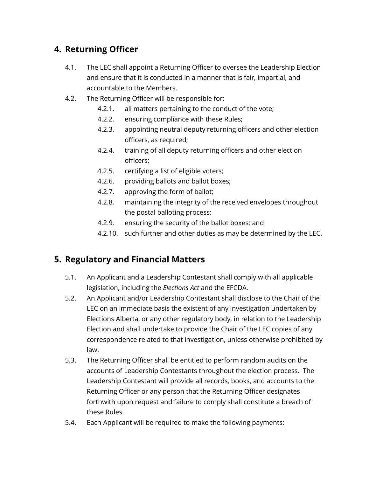# 4. Returning Officer

- 4.1. The LEC shall appoint a Returning Officer to oversee the Leadership Election and ensure that it is conducted in a manner that is fair, impartial, and accountable to the Members.
- 4.2. The Returning Officer will be responsible for:
	- 4.2.1. all matters pertaining to the conduct of the vote;
	- 4.2.2. ensuring compliance with these Rules;
	- 4.2.3. appointing neutral deputy returning officers and other election officers, as required;
	- 4.2.4. training of all deputy returning officers and other election officers;
	- 4.2.5. certifying a list of eligible voters;
	- 4.2.6. providing ballots and ballot boxes;
	- 4.2.7. approving the form of ballot;
	- 4.2.8. maintaining the integrity of the received envelopes throughout the postal balloting process;
	- 4.2.9. ensuring the security of the ballot boxes; and
	- 4.2.10. such further and other duties as may be determined by the LEC.

# 5. Regulatory and Financial Matters

- 5.1. An Applicant and a Leadership Contestant shall comply with all applicable legislation, including the Elections Act and the EFCDA.
- 5.2. An Applicant and/or Leadership Contestant shall disclose to the Chair of the LEC on an immediate basis the existent of any investigation undertaken by Elections Alberta, or any other regulatory body, in relation to the Leadership Election and shall undertake to provide the Chair of the LEC copies of any correspondence related to that investigation, unless otherwise prohibited by law.
- 5.3. The Returning Officer shall be entitled to perform random audits on the accounts of Leadership Contestants throughout the election process. The Leadership Contestant will provide all records, books, and accounts to the Returning Officer or any person that the Returning Officer designates forthwith upon request and failure to comply shall constitute a breach of these Rules.
- 5.4. Each Applicant will be required to make the following payments: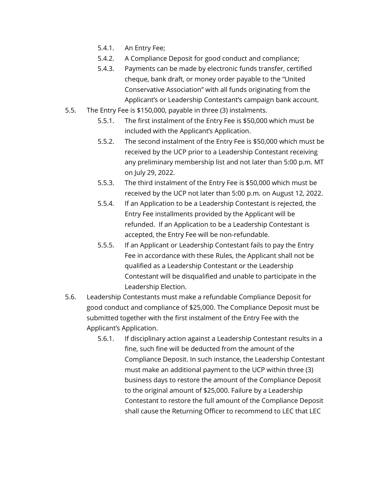- 5.4.1. An Entry Fee;
- 5.4.2. A Compliance Deposit for good conduct and compliance;
- 5.4.3. Payments can be made by electronic funds transfer, certified cheque, bank draft, or money order payable to the "United Conservative Association" with all funds originating from the Applicant's or Leadership Contestant's campaign bank account.
- 5.5. The Entry Fee is \$150,000, payable in three (3) instalments.
	- 5.5.1. The first instalment of the Entry Fee is \$50,000 which must be included with the Applicant's Application.
	- 5.5.2. The second instalment of the Entry Fee is \$50,000 which must be received by the UCP prior to a Leadership Contestant receiving any preliminary membership list and not later than 5:00 p.m. MT on July 29, 2022.
	- 5.5.3. The third instalment of the Entry Fee is \$50,000 which must be received by the UCP not later than 5:00 p.m. on August 12, 2022.
	- 5.5.4. If an Application to be a Leadership Contestant is rejected, the Entry Fee installments provided by the Applicant will be refunded. If an Application to be a Leadership Contestant is accepted, the Entry Fee will be non-refundable.
	- 5.5.5. If an Applicant or Leadership Contestant fails to pay the Entry Fee in accordance with these Rules, the Applicant shall not be qualified as a Leadership Contestant or the Leadership Contestant will be disqualified and unable to participate in the Leadership Election.
- 5.6. Leadership Contestants must make a refundable Compliance Deposit for good conduct and compliance of \$25,000. The Compliance Deposit must be submitted together with the first instalment of the Entry Fee with the Applicant's Application.
	- 5.6.1. If disciplinary action against a Leadership Contestant results in a fine, such fine will be deducted from the amount of the Compliance Deposit. In such instance, the Leadership Contestant must make an additional payment to the UCP within three (3) business days to restore the amount of the Compliance Deposit to the original amount of \$25,000. Failure by a Leadership Contestant to restore the full amount of the Compliance Deposit shall cause the Returning Officer to recommend to LEC that LEC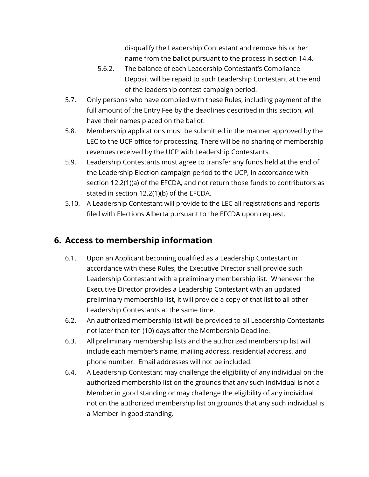disqualify the Leadership Contestant and remove his or her name from the ballot pursuant to the process in section 14.4.

- 5.6.2. The balance of each Leadership Contestant's Compliance Deposit will be repaid to such Leadership Contestant at the end of the leadership contest campaign period.
- 5.7. Only persons who have complied with these Rules, including payment of the full amount of the Entry Fee by the deadlines described in this section, will have their names placed on the ballot.
- 5.8. Membership applications must be submitted in the manner approved by the LEC to the UCP office for processing. There will be no sharing of membership revenues received by the UCP with Leadership Contestants.
- 5.9. Leadership Contestants must agree to transfer any funds held at the end of the Leadership Election campaign period to the UCP, in accordance with section 12.2(1)(a) of the EFCDA, and not return those funds to contributors as stated in section 12.2(1)(b) of the EFCDA.
- 5.10. A Leadership Contestant will provide to the LEC all registrations and reports filed with Elections Alberta pursuant to the EFCDA upon request.

# 6. Access to membership information

- 6.1. Upon an Applicant becoming qualified as a Leadership Contestant in accordance with these Rules, the Executive Director shall provide such Leadership Contestant with a preliminary membership list. Whenever the Executive Director provides a Leadership Contestant with an updated preliminary membership list, it will provide a copy of that list to all other Leadership Contestants at the same time.
- 6.2. An authorized membership list will be provided to all Leadership Contestants not later than ten (10) days after the Membership Deadline.
- 6.3. All preliminary membership lists and the authorized membership list will include each member's name, mailing address, residential address, and phone number. Email addresses will not be included.
- 6.4. A Leadership Contestant may challenge the eligibility of any individual on the authorized membership list on the grounds that any such individual is not a Member in good standing or may challenge the eligibility of any individual not on the authorized membership list on grounds that any such individual is a Member in good standing.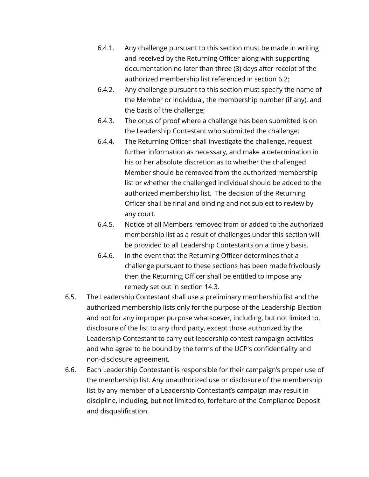- 6.4.1. Any challenge pursuant to this section must be made in writing and received by the Returning Officer along with supporting documentation no later than three (3) days after receipt of the authorized membership list referenced in section 6.2;
- 6.4.2. Any challenge pursuant to this section must specify the name of the Member or individual, the membership number (if any), and the basis of the challenge;
- 6.4.3. The onus of proof where a challenge has been submitted is on the Leadership Contestant who submitted the challenge;
- 6.4.4. The Returning Officer shall investigate the challenge, request further information as necessary, and make a determination in his or her absolute discretion as to whether the challenged Member should be removed from the authorized membership list or whether the challenged individual should be added to the authorized membership list. The decision of the Returning Officer shall be final and binding and not subject to review by any court.
- 6.4.5. Notice of all Members removed from or added to the authorized membership list as a result of challenges under this section will be provided to all Leadership Contestants on a timely basis.
- 6.4.6. In the event that the Returning Officer determines that a challenge pursuant to these sections has been made frivolously then the Returning Officer shall be entitled to impose any remedy set out in section 14.3.
- 6.5. The Leadership Contestant shall use a preliminary membership list and the authorized membership lists only for the purpose of the Leadership Election and not for any improper purpose whatsoever, including, but not limited to, disclosure of the list to any third party, except those authorized by the Leadership Contestant to carry out leadership contest campaign activities and who agree to be bound by the terms of the UCP's confidentiality and non-disclosure agreement.
- 6.6. Each Leadership Contestant is responsible for their campaign's proper use of the membership list. Any unauthorized use or disclosure of the membership list by any member of a Leadership Contestant's campaign may result in discipline, including, but not limited to, forfeiture of the Compliance Deposit and disqualification.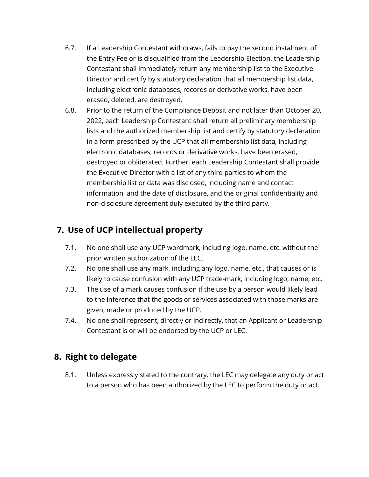- 6.7. If a Leadership Contestant withdraws, fails to pay the second instalment of the Entry Fee or is disqualified from the Leadership Election, the Leadership Contestant shall immediately return any membership list to the Executive Director and certify by statutory declaration that all membership list data, including electronic databases, records or derivative works, have been erased, deleted, are destroyed.
- 6.8. Prior to the return of the Compliance Deposit and not later than October 20, 2022, each Leadership Contestant shall return all preliminary membership lists and the authorized membership list and certify by statutory declaration in a form prescribed by the UCP that all membership list data, including electronic databases, records or derivative works, have been erased, destroyed or obliterated. Further, each Leadership Contestant shall provide the Executive Director with a list of any third parties to whom the membership list or data was disclosed, including name and contact information, and the date of disclosure, and the original confidentiality and non-disclosure agreement duly executed by the third party.

# 7. Use of UCP intellectual property

- 7.1. No one shall use any UCP wordmark, including logo, name, etc. without the prior written authorization of the LEC.
- 7.2. No one shall use any mark, including any logo, name, etc., that causes or is likely to cause confusion with any UCP trade-mark, including logo, name, etc.
- 7.3. The use of a mark causes confusion if the use by a person would likely lead to the inference that the goods or services associated with those marks are given, made or produced by the UCP.
- 7.4. No one shall represent, directly or indirectly, that an Applicant or Leadership Contestant is or will be endorsed by the UCP or LEC.

### 8. Right to delegate

8.1. Unless expressly stated to the contrary, the LEC may delegate any duty or act to a person who has been authorized by the LEC to perform the duty or act.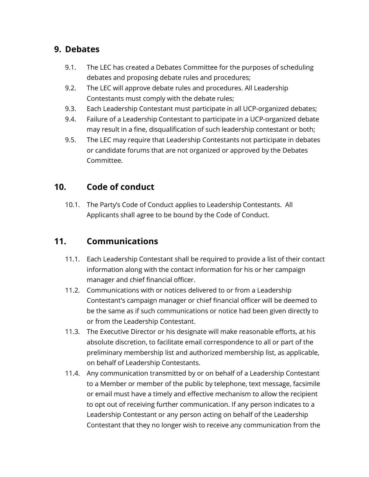#### 9. Debates

- 9.1. The LEC has created a Debates Committee for the purposes of scheduling debates and proposing debate rules and procedures;
- 9.2. The LEC will approve debate rules and procedures. All Leadership Contestants must comply with the debate rules;
- 9.3. Each Leadership Contestant must participate in all UCP-organized debates;
- 9.4. Failure of a Leadership Contestant to participate in a UCP-organized debate may result in a fine, disqualification of such leadership contestant or both;
- 9.5. The LEC may require that Leadership Contestants not participate in debates or candidate forums that are not organized or approved by the Debates Committee.

### 10. Code of conduct

10.1. The Party's Code of Conduct applies to Leadership Contestants. All Applicants shall agree to be bound by the Code of Conduct.

### 11. Communications

- 11.1. Each Leadership Contestant shall be required to provide a list of their contact information along with the contact information for his or her campaign manager and chief financial officer.
- 11.2. Communications with or notices delivered to or from a Leadership Contestant's campaign manager or chief financial officer will be deemed to be the same as if such communications or notice had been given directly to or from the Leadership Contestant.
- 11.3. The Executive Director or his designate will make reasonable efforts, at his absolute discretion, to facilitate email correspondence to all or part of the preliminary membership list and authorized membership list, as applicable, on behalf of Leadership Contestants.
- 11.4. Any communication transmitted by or on behalf of a Leadership Contestant to a Member or member of the public by telephone, text message, facsimile or email must have a timely and effective mechanism to allow the recipient to opt out of receiving further communication. If any person indicates to a Leadership Contestant or any person acting on behalf of the Leadership Contestant that they no longer wish to receive any communication from the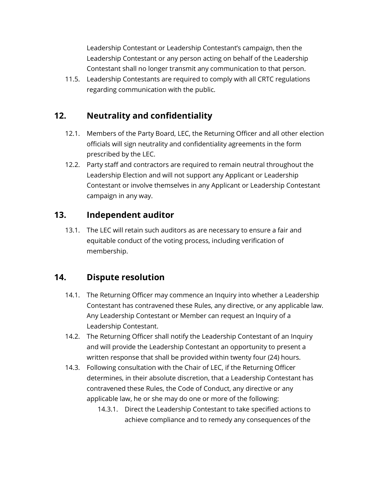Leadership Contestant or Leadership Contestant's campaign, then the Leadership Contestant or any person acting on behalf of the Leadership Contestant shall no longer transmit any communication to that person.

11.5. Leadership Contestants are required to comply with all CRTC regulations regarding communication with the public.

#### 12. Neutrality and confidentiality

- 12.1. Members of the Party Board, LEC, the Returning Officer and all other election officials will sign neutrality and confidentiality agreements in the form prescribed by the LEC.
- 12.2. Party staff and contractors are required to remain neutral throughout the Leadership Election and will not support any Applicant or Leadership Contestant or involve themselves in any Applicant or Leadership Contestant campaign in any way.

#### 13. Independent auditor

13.1. The LEC will retain such auditors as are necessary to ensure a fair and equitable conduct of the voting process, including verification of membership.

### 14. Dispute resolution

- 14.1. The Returning Officer may commence an Inquiry into whether a Leadership Contestant has contravened these Rules, any directive, or any applicable law. Any Leadership Contestant or Member can request an Inquiry of a Leadership Contestant.
- 14.2. The Returning Officer shall notify the Leadership Contestant of an Inquiry and will provide the Leadership Contestant an opportunity to present a written response that shall be provided within twenty four (24) hours.
- 14.3. Following consultation with the Chair of LEC, if the Returning Officer determines, in their absolute discretion, that a Leadership Contestant has contravened these Rules, the Code of Conduct, any directive or any applicable law, he or she may do one or more of the following:
	- 14.3.1. Direct the Leadership Contestant to take specified actions to achieve compliance and to remedy any consequences of the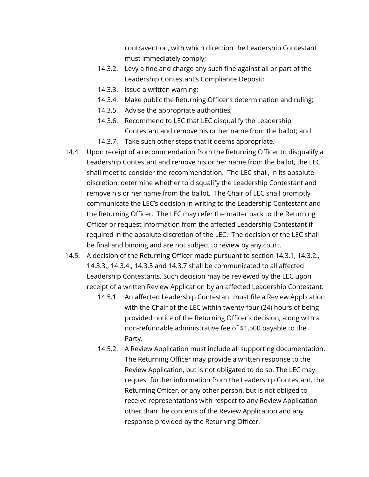contravention, with which direction the Leadership Contestant must immediately comply;

- 14.3.2. Levy a fine and charge any such fine against all or part of the Leadership Contestant's Compliance Deposit;
- 14.3.3. Issue a written warning;
- 14.3.4. Make public the Returning Officer's determination and ruling;
- 14.3.5. Advise the appropriate authorities;
- 14.3.6. Recommend to LEC that LEC disqualify the Leadership Contestant and remove his or her name from the ballot; and
- 14.3.7. Take such other steps that it deems appropriate.
- 14.4. Upon receipt of a recommendation from the Returning Officer to disqualify a Leadership Contestant and remove his or her name from the ballot, the LEC shall meet to consider the recommendation. The LEC shall, in its absolute discretion, determine whether to disqualify the Leadership Contestant and remove his or her name from the ballot. The Chair of LEC shall promptly communicate the LEC's decision in writing to the Leadership Contestant and the Returning Officer. The LEC may refer the matter back to the Returning Officer or request information from the affected Leadership Contestant if required in the absolute discretion of the LEC. The decision of the LEC shall be final and binding and are not subject to review by any court.
- 14.5. A decision of the Returning Officer made pursuant to section 14.3.1, 14.3.2., 14.3.3., 14.3.4., 14.3.5 and 14.3.7 shall be communicated to all affected Leadership Contestants. Such decision may be reviewed by the LEC upon receipt of a written Review Application by an affected Leadership Contestant.
	- 14.5.1. An affected Leadership Contestant must file a Review Application with the Chair of the LEC within twenty-four (24) hours of being provided notice of the Returning Officer's decision, along with a non-refundable administrative fee of \$1,500 payable to the Party.
	- 14.5.2. A Review Application must include all supporting documentation. The Returning Officer may provide a written response to the Review Application, but is not obligated to do so. The LEC may request further information from the Leadership Contestant, the Returning Officer, or any other person, but is not obliged to receive representations with respect to any Review Application other than the contents of the Review Application and any response provided by the Returning Officer.